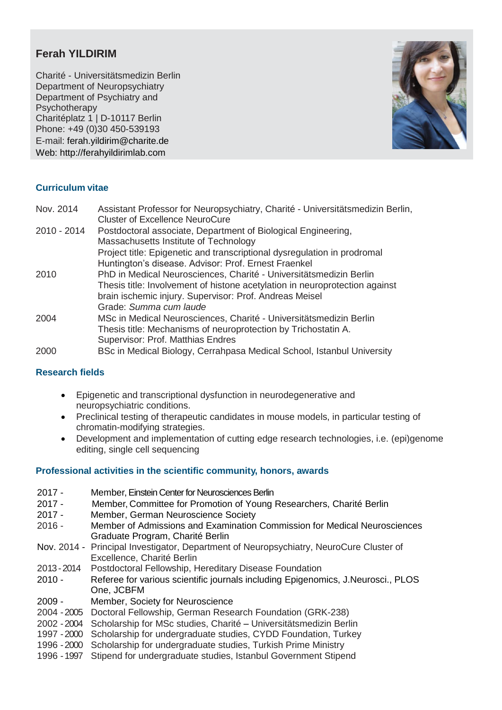# **Ferah YILDIRIM**

Charité - Universitätsmedizin Berlin Department of Neuropsychiatry Department of Psychiatry and Psychotherapy Charitéplatz 1 | D-10117 Berlin Phone: +49 (0)30 450-539193 E-mail: [ferah.yildirim@charite.de](mailto:ferah.yildirim@charite.de) Web: http://ferahyildirimlab.com



## **Curriculum vitae**

| Nov. 2014   | Assistant Professor for Neuropsychiatry, Charité - Universitätsmedizin Berlin, |
|-------------|--------------------------------------------------------------------------------|
|             | <b>Cluster of Excellence NeuroCure</b>                                         |
| 2010 - 2014 | Postdoctoral associate, Department of Biological Engineering,                  |
|             | Massachusetts Institute of Technology                                          |
|             | Project title: Epigenetic and transcriptional dysregulation in prodromal       |
|             | Huntington's disease. Advisor: Prof. Ernest Fraenkel                           |
| 2010        | PhD in Medical Neurosciences, Charité - Universitätsmedizin Berlin             |
|             | Thesis title: Involvement of histone acetylation in neuroprotection against    |
|             | brain ischemic injury. Supervisor: Prof. Andreas Meisel                        |
|             | Grade: Summa cum laude                                                         |
| 2004        | MSc in Medical Neurosciences, Charité - Universitätsmedizin Berlin             |
|             | Thesis title: Mechanisms of neuroprotection by Trichostatin A.                 |
|             | Supervisor: Prof. Matthias Endres                                              |
| 2000        | BSc in Medical Biology, Cerrahpasa Medical School, Istanbul University         |
|             |                                                                                |

## **Research fields**

- Epigenetic and transcriptional dysfunction in neurodegenerative and neuropsychiatric conditions.
- Preclinical testing of therapeutic candidates in mouse models, in particular testing of chromatin-modifying strategies.
- Development and implementation of cutting edge research technologies, i.e. (epi)genome editing, single cell sequencing

## **Professional activities in the scientific community, honors, awards**

- 2017 Member, Einstein Center for Neurosciences Berlin 2017 - Member, Committee for Promotion of Young Researchers, Charité Berlin 2017 - Member, German Neuroscience Society 2016 - Member of Admissions and Examination Commission for Medical Neurosciences Graduate Program, Charité Berlin Nov. 2014 - Principal Investigator, Department of Neuropsychiatry, NeuroCure Cluster of Excellence, Charité Berlin 2013 -2014 Postdoctoral Fellowship, Hereditary Disease Foundation 2010 - Referee for various scientific journals including Epigenomics, J.Neurosci., PLOS One, JCBFM 2009 - Member, Society for Neuroscience 2004 -2005 Doctoral Fellowship, German Research Foundation (GRK-238) 2002 -2004 Scholarship for MSc studies, Charité – Universitätsmedizin Berlin 1997 -2000 Scholarship for undergraduate studies, CYDD Foundation, Turkey
- 1996 -2000 Scholarship for undergraduate studies, Turkish Prime Ministry
- 1996 -1997 Stipend for undergraduate studies, Istanbul Government Stipend